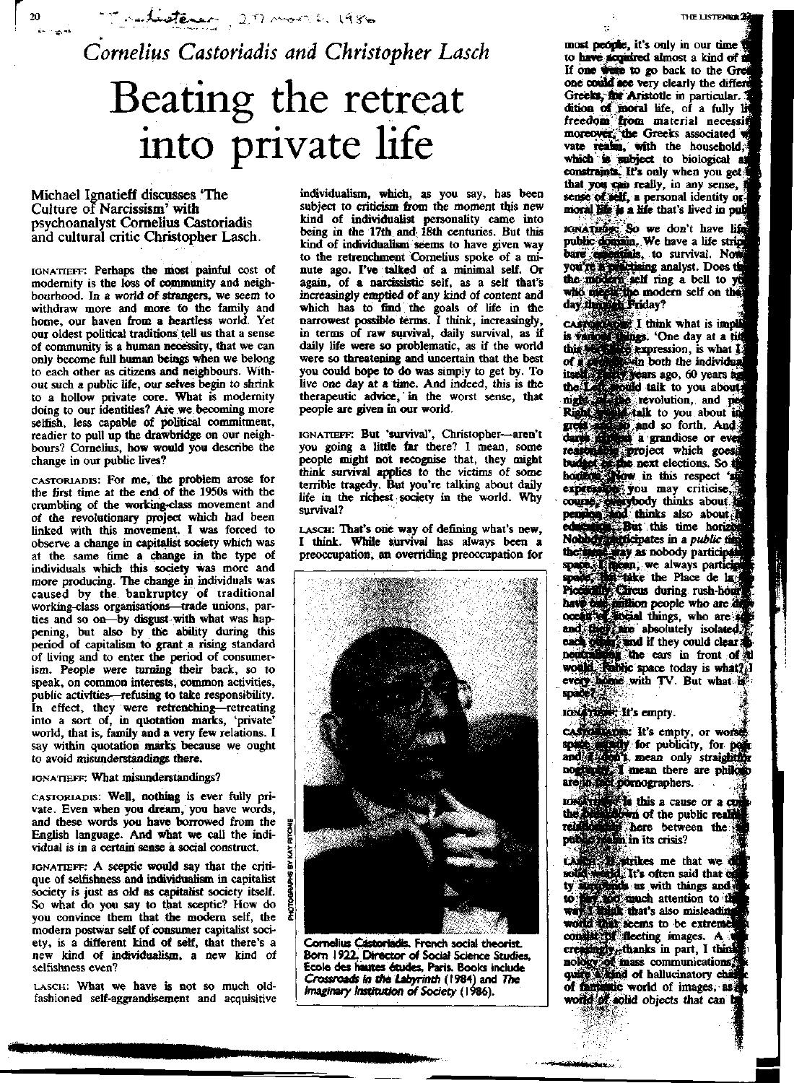Tradisterer, 20 mon b. 1986

*Cornelius Castoriadis and Christopher Lasch*

# Beating the retreat into private life

### Michael Ignatieff discusses "The Culture of Narcissism' with psychoanalyst Cornelius Castoriadis and cultural critic Christopher Lasch.

 $20$ 

IGNATIEFF: Perhaps the most painful cost of modernity is the loss of community and neighbourhood. In a world of strangers, we seem to withdraw more and more to the family and home, our haven from a heartless world. Yet our oldest political traditions tell us that a sense of community is a human necessity, that we can only become full human beings when we belong to each other as citizens and neighbours. Without such a public life, our selves begin to shrink to a hollow private core. What is modernity doing to our identities? Are we becoming more selfish, less capable of political commitment, readier to pull up the drawbridge on our neighbours? Cornelius, how would you describe the change in our public lives?

CASTORIADIS: For me, the problem arose for the first time at the end of the 1950s with the crumbling of the working-class movement and of the revolutionary project which had been linked with this movement. I was forced to observe a change in capitalist society which was at the same time a change in the type of individuals which this society was more and more producing. The change in individuals was caused by the bankruptcy of traditional working-class organisations—trade unions, parties and so on—by disgust with what was happening, but also by the ability during this period of capitalism to grant a rising standard of living and to enter the period of consumerism. People were turning their back, so to speak, on common interests, common activities, public activities—refusing to take responsibility. In effect, they were retrenching—retreating into a sort of, in quotation marks, 'private' world, that is, family and a very few relations. I say within quotation marks because we ought to avoid misunderstandings there.

#### IGNATIEFF: What misunderstandings?

CASTORIADIS: Well, nothing is ever fully private. Even when you dream, you have words, and these words you have borrowed from the English language. And what we call the individual is in a certain sense a social construct.

IGNATIEFF: A sceptic would say that the critique of selfishness and individualism in capitalist society is just as old as capitalist society itself. So what do you say to that sceptic? How do you convince them that the modern self, the modern postwar self of consumer capitalist society, is a different kind of self, that there's a new kind of individualism, a new kind of selfishness even?

LASCH: What we have is not so much oldfashioned self-aggrandisement and acquisitive

individualism, which, as you say, has been subject to criticism from the moment this new kind of individualist personality came into being in the 17th and 18th centuries. But this kind of individualism seems to have given way to the retrenchment Cornelius spoke of a minute ago. I've talked of a minimal self. Or again, of a narcissistic self, as a self that's increasingly emptied of any kind of content and which has to find the goals of life in the narrowest possible terms. I think, increasingly, in terms of raw survival, daily survival, as if daily life were so problematic, as if the world were so threatening and uncertain that the best you could hope to do was simply to get by. To live one day at a time. And indeed, this is the therapeutic advice, in the worst sense, that people are given in our world.

IGNATIEFF: But 'survival', Christopher—aren't you going a little far there? I mean, some people might not recognise that, they might think survival applies to the victims of some terrible tragedy. But you're talking about daily life in the richest society in the world. Why survival?

LASCH: That's one way of defining what's new, I think. While survival has always been a preoccupation, an overriding preoccupation for



Cornelius Castoriadis. French social theorist. Born 1922, Director of Social Science Studies, Ecole des hautes etudes, Paris. Books include Crossroads *in the Labyrinth* (1984) and *The Imaginary Institution of Society (*1986).

most people, it's only in our time to have acquired almost a kind of i If one were to go back to the one could see very clearly the Greeks, for Aristotle in particular.' dition of moral life, of a fully freedom from material necessit moreover, the Greeks associated vate realm, with the household, which is subject to biological  $constant$ . It's only when you get  $1$ that you can really, in any sense, i sense of self, a personal identity ormoral life is a life that's lived in pull

IGNATHER: So we don't have life public domain. We have a life bare egiptidals, to survival. No ; analyst. Does t the modern self ring a bell to who meets the modern self on riday?

I think what is i 'One day at a expression, is what I| both the ago, 60 years i talk to you ab revolution, and to you about and so forth. *A* a grandiose or iject which go next elections. So in this respect you may criticise, thinks about thinks also about this time ites in a *public* t as nobody partic , we always t it this time horizon<br>t it is time horizon<br>pates in a *public* time<br>as nobody participates<br>we always participates<br>the Place de la monde rush-hours<br>during rush-hours people who are a things, who are s nobody participate<br>
if the Place de la<br>
is during rush-hour<br>
in people who are<br>
things, who are<br>
absolutely isolated.<br>
if they could clear applies<br>
if they could clear application the cars in front of space today is  $\textbf{what?} \mathbf{1}$ every bome with TV. But what if

## ION THEFT It's empty.

costrollarie: It's empty, or worse.  $\ell$  for publicity, for  $\frac{1}{2}$ . mean only straight mean there are ihers.

this a cause or a of the public here between the In its crisis?

trikes me that we<br>It's often said that c us with things and  $\frac{3}{2}$ **souch** attention to that's also misle seems to be ext fleeting images. A thanks in part, I ! mass communications,<sup>1</sup> ' I of hallucinatory of fantastic world of images, world of solid objects that can b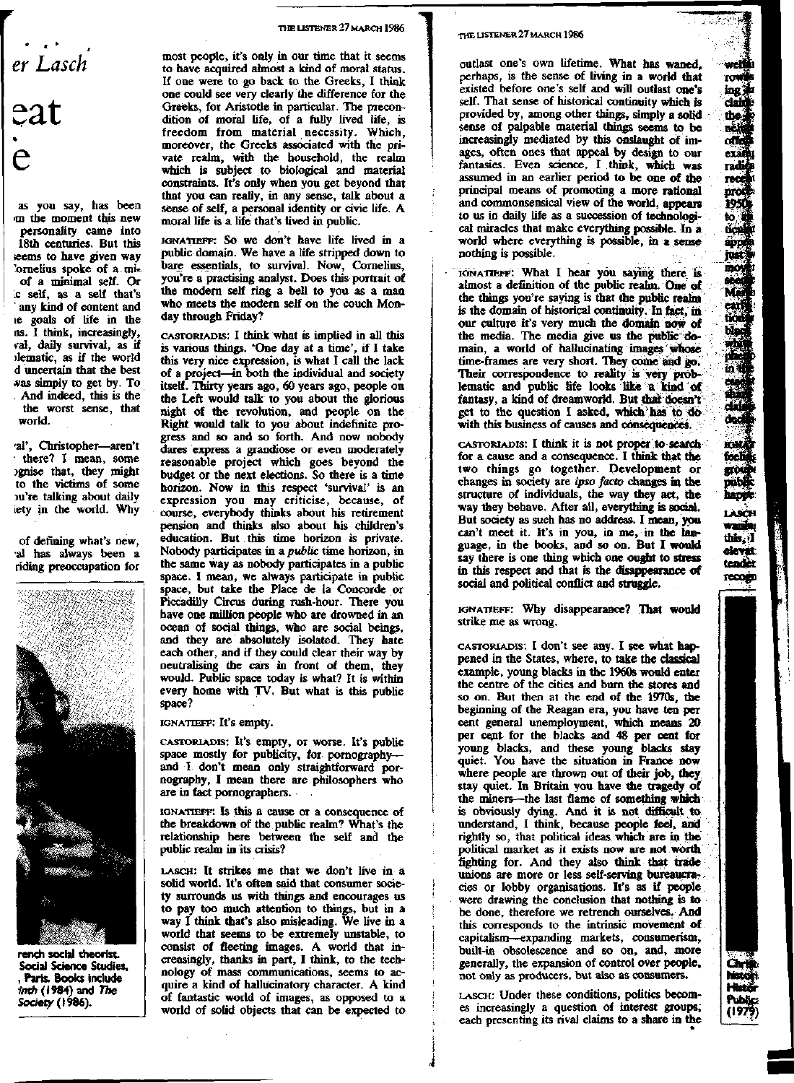*er Lasch*  $\mathop{\mathsf{eat}}$ 

as you say, has been >m the moment this new personality came into 18th centuries. But this ;eems to have given way 'ornelius spoke of a miof a minimal self. Or c self, as a self that's any kind of content and le goals of life in the ns. I think, increasingly, *val,* daily survival, as if riematic, as if the world d uncertain that the best was simply to get by. To And indeed, this is the the worst sense, that world.

'al', Christopher—aren't there? I mean, some Dgnise that, they might to the victims of some nu're talking about daily iety in the world. Why

of defining what's new, •al has always been a riding preoccupation for



rench social theorist. Social Science Studies, , Paris. Books include inth (1984) and The Society (1996).

#### **THE LISTENER** 27 **MARCH 1986**

most people, it's only in our time that it seems to have acquired almost a kind of moral status. If one were to go back to the Greeks, I think one could see very clearly the difference for the Greeks, for Aristotle in particular. The precondition of moral life, of a fully lived life, is freedom from material necessity. Which, moreover, the Greeks associated with the private realm, with the household, the realm which is subject to biological and material constraints. It's only when you get beyond that that you can really, in any sense, talk about a sense of self, a personal identity or civic life. A moral life is a life that's lived in public.

IGNATIEFF: So we don't have life lived in a public domain. We have a life stripped down to bare essentials, to survival. Now, Cornelius, you're a practising analyst. Does this portrait of the modern self ring a bell to you as a man who meets the modern self on the couch Monday through Friday?

CASTORIADIS: I think what is implied in all this is various things. 'One day at a time', if I take this very nice expression, is what I call the lack of a project—in both the individual and society itself. Thirty years ago, 60 years ago, people on the Left would talk to you about the glorious night of the revolution, and people on the Right would talk to you about indefinite progress and so and so forth. And now nobody dares express a grandiose or even moderately reasonable project which goes beyond the budget or the next elections. So there is a time horizon. Now in this respect 'survival' is an expression you may criticise, because, of course, everybody thinks about his retirement pension and thinks also about his children's education. But this time horizon is private. Nobody participates in a *public* time horizon, in the same way as nobody participates in a public space. I mean, we always participate in public space, but take the Place de la Concorde or Piccadilly Circus during rush-hour. There you have one million people who are drowned in an ocean of social things, who are social beings, and they are absolutely isolated. They hate each other, and if they could clear their way by neutralising the cars in front of them, they would. Public space today is what? It is within every home with TV. But what is this public space?

IGNATIEFF: It's empty.

CASTORIADIS: It's empty, or worse. It's public space mostly for publicity, for pornography and I don't mean only straightforward pornography, I mean there are philosophers who are in fact pornographers.

IGNATIEFF: Is this a cause or a consequence of the breakdown of the public realm? What's the relationship here between the self and the public realm in its crisis?

LASCH: It strikes me that we don't live in a solid world. It's often said that consumer society surrounds us with things and encourages us to pay too much attention to things, but in a way I think that's also misleading. We live in a world that seems to be extremely unstable, to consist of fleeting images. A world that increasingly, thanks in part, I think, to the technology of mass communications, seems to acquire a kind of hallucinatory character. A kind of fantastic world of images, as opposed to a world of solid objects that can be expected to

#### THE LISTENER 27 **MARCH 1986**

outlast one's own lifetime. What has waned, perhaps, is the sense of living in a world that existed before one's self and will outlast one's self. That sense of historical continuity which is provided by, among other things, simply a solid sense of palpable material things seems to be increasingly mediated by this onslaught of images, often ones that appeal by design to our fantasies. Even science, I think, which was assumed in an earlier period to be one of the principal means of promoting a more rational and commonsensical view of the world, appears to us in daily life as a succession of technological miracles that make everything possible. In a world where everything is possible, in a sense nothing is possible.

IGNATIEFF: What I hear you saying there is almost a definition of the public realm. One of the things you're saying is that the public realm is the domain of historical continuity. In fact, in our culture it's very much the domain now of the media. The media give us the public domain, a world of hallucinating images whose time-frames are very short. They come and go. Their correspondence to reality is very problematic and public life looks like a kind of fantasy, a kind of dreamworld. But that doesn't get to the question I asked, which has to do with this business of causes and consequences.

CASTORIADIS: I think it is not proper to search for a cause and a consequence. I think that the two things go together. Development or changes in society are *ipso facto* changes in the structure of individuals, die way they act, die way they behave. After all, everything is social. But society as such has no address. I mean, you can't meet it. It's in you, in me, in the language, in die books, and so on. But I would say there is one thing which one ought to stress in this respect and that is the disappearance of social and political conflict and straggle.

IGNATIEFF: Why disappearance? That would strike me as wrong.

CASTORIADIS: I don't see any. I see what happened in the States, where, to take the classical example, young blacks in die 1960s would enter the centre of the cities and burn die stores and so on. But then at the end of die 1970s, die beginning of the Reagan era, you have ten per cent general unemployment, which means 20 per cent for the blacks and 48 per cent for young blacks, and these young blacks stay quiet. You have the situation in France now where people are thrown out of their job, they stay quiet. In Britain you have die tragedy of the miners—the last flame of something which is obviously dying. And it is not difficult to understand, I think, because people feel, and rightly so, that political ideas which are in the political market as it exists now are not worth fighting for. And they also think that trade unions are more or less self-serving bureaucracies or lobby organisations. It's as if people were drawing the conclusion that nothing is to be done, therefore we retrench ourselves. And this corresponds to the intrinsic movement of capitalism—expanding markets, consumerism, built-in obsolescence and so on, and, more generally, the expansion of control oVer people, not only as producers, but also as consumers.

LASCH: Under these conditions, politics becomes increasingly a question of interest groups, each presenting its rival claims to a share in the dec

ficel 60 poblj happe LASCH vani this, I clevet tender recogn

öät his

welth **TOWED** ing in dain  $\frac{1}{2}$ ofic examp radi TOO mċ 1950 to tić арр just moy